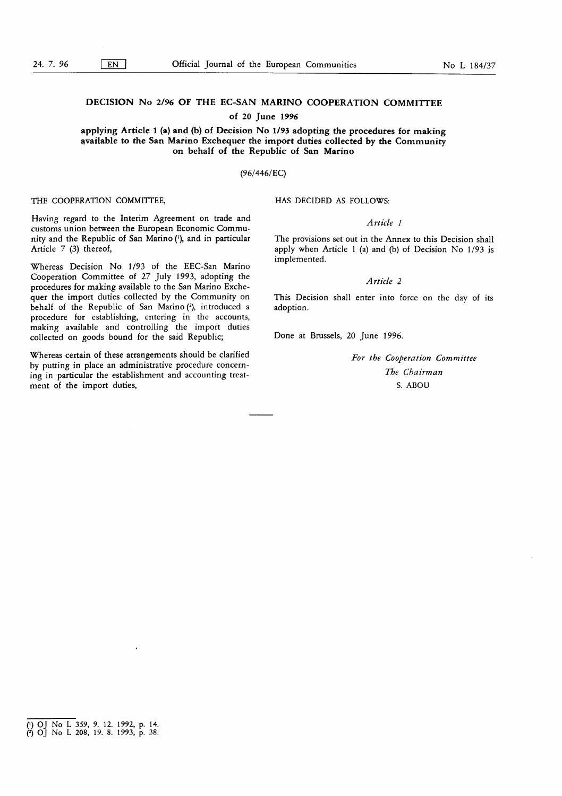# DECISION No 2/96 OF THE EC-SAN MARINO COOPERATION COMMITTEE

## of 20 June 1996

### applying Article 1 (a) and (b) of Decision No 1/93 adopting the procedures for making available to the San Marino Exchequer the import duties collected by the Community on behalf of the Republic of San Marino

### (96/446/EC)

THE COOPERATION COMMITTEE,

HAS DECIDED AS FOLLOWS:

# Article <sup>1</sup>

The provisions set out in the Annex to this Decision shall apply when Article 1 (a) and (b) of Decision No  $1/93$  is implemented.

### Article 2

This Decision shall enter into force on the day of its adoption.

Done at Brussels, 20 June 1996.

For the Cooperation Committee The Chairman S. ABOU

Having regard to the Interim Agreement on trade and customs union between the European Economic Community and the Republic of San Marino ('), and in particular Article 7 (3) thereof,

Whereas Decision No 1/93 of the EEC-San Marino Cooperation Committee of 27 July 1993, adopting the procedures for making available to the San Marino Exchequer the import duties collected by the Community on behalf of the Republic of San Marino (2), introduced a procedure for establishing, entering in the accounts, making available and controlling the import duties collected on goods bound for the said Republic;

Whereas certain of these arrangements should be clarified by putting in place an administrative procedure concerning in particular the establishment and accounting treatment of the import duties,

<sup>(&#</sup>x27;) OJ No L 359, 9. 12. 1992, p. 14. <sup>2</sup>) OJ No L 208, 19. 8. 1993, p. 38.